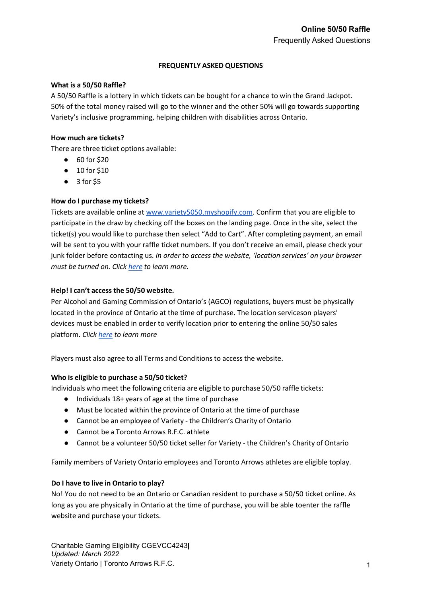## **FREQUENTLY ASKED QUESTIONS**

## **What is a 50/50 Raffle?**

A 50/50 Raffle is a lottery in which tickets can be bought for a chance to win the Grand Jackpot. 50% of the total money raised will go to the winner and the other 50% will go towards supporting Variety's inclusive programming, helping children with disabilities across Ontario.

## **How much are tickets?**

There are three ticket options available:

- 60 for \$20
- 10 for \$10
- 3 for \$5

# **How do I purchase my tickets?**

Tickets are available online a[t www.variety5050.myshopify.com.](http://www.variety5050.myshopify.com/) Confirm that you are eligible to participate in the draw by checking off the boxes on the landing page. Once in the site, select the ticket(s) you would like to purchase then select "Add to Cart". After completing payment, an email will be sent to you with your raffle ticket numbers. If you don't receive an email, please check your junk folder before contacting us. *In order to access the website, 'location services' on your browser must be turned on. Click [here](https://docs.buddypunch.com/en/articles/919258-how-to-enable-location-services-for-chrome-safari-edge-and-android-ios-devices-gps-setting) to learn more.*

# **Help! I can't access the 50/50 website.**

Per Alcohol and Gaming Commission of Ontario's (AGCO) regulations, buyers must be physically located in the province of Ontario at the time of purchase. The location serviceson players' devices must be enabled in order to verify location prior to entering the online 50/50 sales platform. *Click [here](https://docs.buddypunch.com/en/articles/919258-how-to-enable-location-services-for-chrome-safari-edge-and-android-ios-devices-gps-setting) to learn more*

Players must also agree to all Terms and Conditions to access the website.

# **Who is eligible to purchase a 50/50 ticket?**

Individuals who meet the following criteria are eligible to purchase 50/50 raffle tickets:

- Individuals 18+ years of age at the time of purchase
- Must be located within the province of Ontario at the time of purchase
- Cannot be an employee of Variety the Children's Charity of Ontario
- Cannot be a Toronto Arrows R.F.C. athlete
- Cannot be a volunteer 50/50 ticket seller for Variety the Children's Charity of Ontario

Family members of Variety Ontario employees and Toronto Arrows athletes are eligible toplay.

# **Do I have to live in Ontario to play?**

No! You do not need to be an Ontario or Canadian resident to purchase a 50/50 ticket online. As long as you are physically in Ontario at the time of purchase, you will be able toenter the raffle website and purchase your tickets.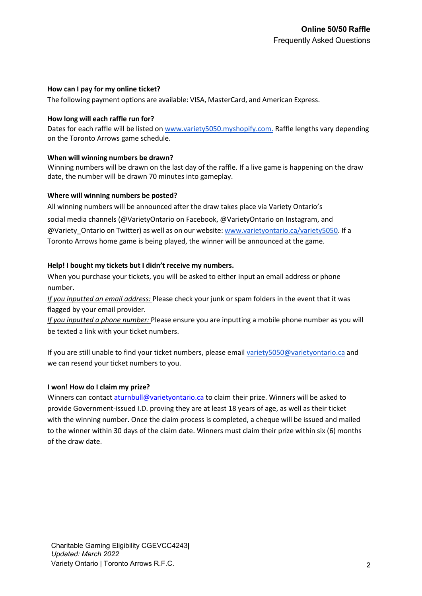## **How can I pay for my online ticket?**

The following payment options are available: VISA, MasterCard, and American Express.

## **How long will each raffle run for?**

Dates for each raffle will be listed on [www.variety5050.myshopify.com.](http://www.variety5050.myshopify.com/) Raffle lengths vary depending on the Toronto Arrows game schedule.

#### **When will winning numbers be drawn?**

Winning numbers will be drawn on the last day of the raffle. If a live game is happening on the draw date, the number will be drawn 70 minutes into gameplay.

#### **Where will winning numbers be posted?**

All winning numbers will be announced after the draw takes place via Variety Ontario's social media channels (@VarietyOntario on Facebook, @VarietyOntario on Instagram, and @Variety Ontario on Twitter) as well as on our website: [www.varietyontario.ca/variety5050.](http://www.varietyontario.ca/variety5050) If a Toronto Arrows home game is being played, the winner will be announced at the game.

# **Help! I bought my tickets but I didn't receive my numbers.**

When you purchase your tickets, you will be asked to either input an email address or phone number.

*If you inputted an email address:* Please check your junk or spam folders in the event that it was flagged by your email provider.

*If you inputted a phone number:* Please ensure you are inputting a mobile phone number as you will be texted a link with your ticket numbers.

If you are still unable to find your ticket numbers, please email [variety5050@varietyontario.ca](mailto:variety5050@varietyontario.ca) and we can resend your ticket numbers to you.

#### **I won! How do I claim my prize?**

Winners can contact [aturnbull@varietyontario.ca](mailto:aturnbull@varietyontario.ca) to claim their prize. Winners will be asked to provide Government-issued I.D. proving they are at least 18 years of age, as well as their ticket with the winning number. Once the claim process is completed, a cheque will be issued and mailed to the winner within 30 days of the claim date. Winners must claim their prize within six (6) months of the draw date.